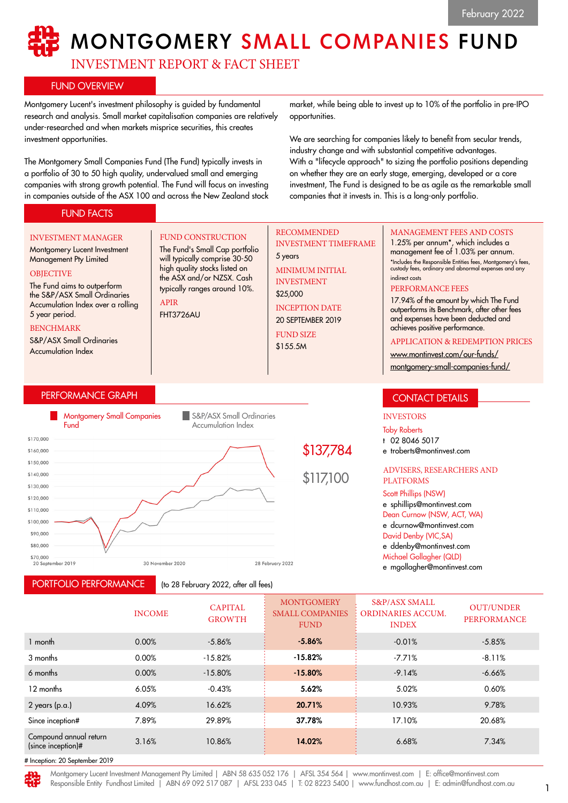# **MONTGOMERY SMALL COMPANIES FUND**

INVESTMENT REPORT & FACT SHEET

FUND CONSTRUCTION The Fund's Small Cap portfolio will typically comprise 30-50 high quality stocks listed on the ASX and/or NZSX. Cash typically ranges around 10%.

# FUND OVERVIEW

Montgomery Lucent's investment philosophy is guided by fundamental research and analysis. Small market capitalisation companies are relatively under-researched and when markets misprice securities, this creates investment opportunities.

The Montgomery Small Companies Fund (The Fund) typically invests in a portfolio of 30 to 50 high quality, undervalued small and emerging companies with strong growth potential. The Fund will focus on investing in companies outside of the ASX 100 and across the New Zealand stock

market, while being able to invest up to 10% of the portfolio in pre-IPO opportunities.

We are searching for companies likely to benefit from secular trends, industry change and with substantial competitive advantages. With a "lifecycle approach" to sizing the portfolio positions depending on whether they are an early stage, emerging, developed or a core investment, The Fund is designed to be as agile as the remarkable small companies that it invests in. This is a long-only portfolio.

# FUND FACTS

#### INVESTMENT MANAGER

Montgomery Lucent Investment Management Pty Limited **OBJECTIVE** 

#### The Fund aims to outperform the S&P/ASX Small Ordinaries Accumulation Index over a rolling 5 year period.

BENCHMARK

S&P/ASX Small Ordinaries Accumulation Index

# PERFORMANCE GRAPH



APIR FHT3726AU

PORTFOLIO PERFORMANCE

(to 28 February 2022, after all fees)

# RECOMMENDED INVESTMENT TIMEFRAME

5 years MINIMUM INITIAL INVESTMENT

\$25,000 INCEPTION DATE

20 SEPTEMBER 2019 FUND SIZE

\$155.5M

## MANAGEMENT FEES AND COSTS

1.25% per annum\*, which includes a management fee of 1.03% per annum. \*Includes the Responsible Entities fees, Montgomery's fees, custody fees, ordinary and abnormal expenses and any indirect costs

#### PERFORMANCE FEES

17.94% of the amount by which The Fund outperforms its Benchmark, after other fees and expenses have been deducted and achieves positive performance.

#### APPLICATION & REDEMPTION PRICES

[www.montinvest.com/our-funds/](http://www.montinvest.com/our-funds/montgomery-small-companies-fund/)

[montgomery-small-companies-fund/](http://www.montinvest.com/our-funds/montgomery-small-companies-fund/)

# CONTACT DETAILS

# INVESTORS

Toby Roberts

t 02 8046 5017

e troberts@montinvest.com

#### ADVISERS, RESEARCHERS AND PLATFORMS

#### Scott Phillips (NSW)

e sphillips@montinvest.com Dean Curnow (NSW, ACT, WA) e dcurnow@montinvest.com David Denby (VIC,SA) e ddenby@montinvest.com Michael Gollagher (QLD)

e mgollagher@montinvest.com

|                                              | <b>INCOME</b> | <b>CAPITAL</b><br><b>GROWTH</b> | <b>MONTGOMERY</b><br><b>SMALL COMPANIES</b><br><b>FUND</b> | <b>S&amp;P/ASX SMALL</b><br><b>ORDINARIES ACCUM.</b><br><b>INDEX</b> | <b>OUT/UNDER</b><br>PERFORMANCE |
|----------------------------------------------|---------------|---------------------------------|------------------------------------------------------------|----------------------------------------------------------------------|---------------------------------|
| 1 month                                      | 0.00%         | $-5.86%$                        | $-5.86%$                                                   | $-0.01%$                                                             | $-5.85%$                        |
| 3 months                                     | 0.00%         | $-15.82%$                       | $-15.82%$                                                  | $-7.71%$                                                             | $-8.11%$                        |
| 6 months                                     | 0.00%         | $-15.80%$                       | $-15.80%$                                                  | $-9.14%$                                                             | $-6.66%$                        |
| 12 months                                    | 6.05%         | $-0.43%$                        | 5.62%                                                      | 5.02%                                                                | 0.60%                           |
| $2$ years (p.a.)                             | 4.09%         | 16.62%                          | 20.71%                                                     | 10.93%                                                               | 9.78%                           |
| Since inception#                             | 7.89%         | 29.89%                          | 37.78%                                                     | 17.10%                                                               | 20.68%                          |
| Compound annual return<br>(since inception)# | 3.16%         | 10.86%                          | 14.02%                                                     | 6.68%                                                                | 7.34%                           |
| H Incontion: 20 Soptombor 2010               |               |                                 |                                                            |                                                                      |                                 |

# Inception: 20 September 2019

Montgomery Lucent Investment Management Pty Limited | ABN 58 635 052 176 | AFSL 354 564 | www.montinvest.com | E: office@montinvest.com Responsible Entity Fundhost Limited | ABN 69 092 517 087 | AFSL 233 045 | T: 02 8223 5400 | www.fundhost.com.au | E: admin@fundhost.com.au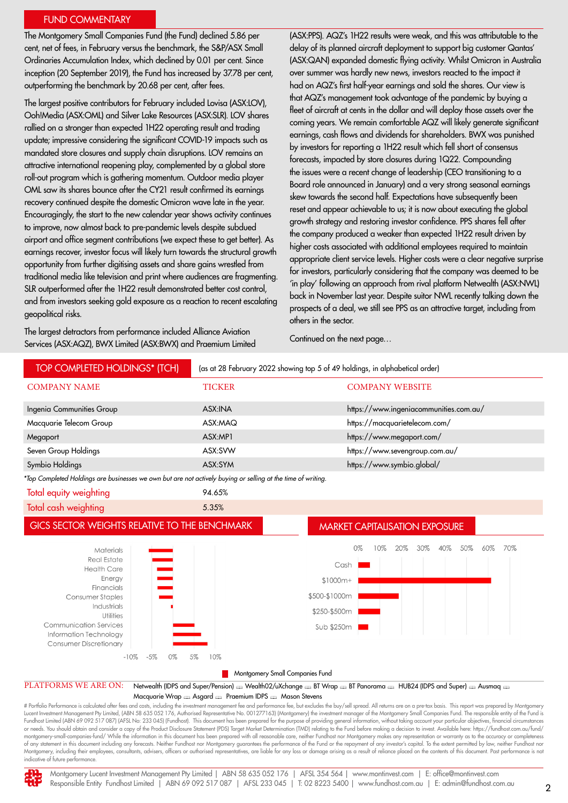#### FUND COMMENTARY

The Montgomery Small Companies Fund (the Fund) declined 5.86 per cent, net of fees, in February versus the benchmark, the S&P/ASX Small Ordinaries Accumulation Index, which declined by 0.01 per cent. Since inception (20 September 2019), the Fund has increased by 37.78 per cent, outperforming the benchmark by 20.68 per cent, after fees.

The largest positive contributors for February included Lovisa (ASX:LOV), Ooh!Media (ASX:OML) and Silver Lake Resources (ASX:SLR). LOV shares rallied on a stronger than expected 1H22 operating result and trading update; impressive considering the significant COVID-19 impacts such as mandated store closures and supply chain disruptions. LOV remains an attractive international reopening play, complemented by a global store roll-out program which is gathering momentum. Outdoor media player OML saw its shares bounce after the CY21 result confirmed its earnings recovery continued despite the domestic Omicron wave late in the year. Encouragingly, the start to the new calendar year shows activity continues to improve, now almost back to pre-pandemic levels despite subdued airport and office segment contributions (we expect these to get better). As earnings recover, investor focus will likely turn towards the structural growth opportunity from further digitising assets and share gains wrestled from traditional media like television and print where audiences are fragmenting. SLR outperformed after the 1H22 result demonstrated better cost control, and from investors seeking gold exposure as a reaction to recent escalating geopolitical risks.

The largest detractors from performance included Alliance Aviation Services (ASX:AQZ), BWX Limited (ASX:BWX) and Praemium Limited (ASX:PPS). AQZ's 1H22 results were weak, and this was attributable to the delay of its planned aircraft deployment to support big customer Qantas' (ASX:QAN) expanded domestic flying activity. Whilst Omicron in Australia over summer was hardly new news, investors reacted to the impact it had on AQZ's first half-year earnings and sold the shares. Our view is that AQZ's management took advantage of the pandemic by buying a fleet of aircraft at cents in the dollar and will deploy those assets over the coming years. We remain comfortable AQZ will likely generate significant earnings, cash flows and dividends for shareholders. BWX was punished by investors for reporting a 1H22 result which fell short of consensus forecasts, impacted by store closures during 1Q22. Compounding the issues were a recent change of leadership (CEO transitioning to a Board role announced in January) and a very strong seasonal earnings skew towards the second half. Expectations have subsequently been reset and appear achievable to us; it is now about executing the global growth strategy and restoring investor confidence. PPS shares fell after the company produced a weaker than expected 1H22 result driven by higher costs associated with additional employees required to maintain appropriate client service levels. Higher costs were a clear negative surprise for investors, particularly considering that the company was deemed to be 'in play' following an approach from rival platform Netwealth (ASX:NWL) back in November last year. Despite suitor NWL recently talking down the prospects of a deal, we still see PPS as an attractive target, including from others in the sector.

Continued on the next page…

| TOP COMPLETED HOLDINGS* (TCH)                                                                                                                                                                                                                                        | (as at 28 February 2022 showing top 5 of 49 holdings, in alphabetical order) |                                                                |  |  |  |  |  |
|----------------------------------------------------------------------------------------------------------------------------------------------------------------------------------------------------------------------------------------------------------------------|------------------------------------------------------------------------------|----------------------------------------------------------------|--|--|--|--|--|
| <b>COMPANY NAME</b>                                                                                                                                                                                                                                                  | <b>TICKER</b>                                                                | <b>COMPANY WEBSITE</b>                                         |  |  |  |  |  |
| Ingenia Communities Group                                                                                                                                                                                                                                            | ASX:INA                                                                      | https://www.ingeniacommunities.com.au/                         |  |  |  |  |  |
| Macquarie Telecom Group                                                                                                                                                                                                                                              | ASX:MAQ                                                                      | https://macquarietelecom.com/                                  |  |  |  |  |  |
| Megaport                                                                                                                                                                                                                                                             | ASX:MP1                                                                      | https://www.megaport.com/                                      |  |  |  |  |  |
| Seven Group Holdings                                                                                                                                                                                                                                                 | ASX:SVW                                                                      | https://www.sevengroup.com.au/                                 |  |  |  |  |  |
| Symbio Holdings                                                                                                                                                                                                                                                      | ASX:SYM                                                                      | https://www.symbio.global/                                     |  |  |  |  |  |
| *Top Completed Holdings are businesses we own but are not actively buying or selling at the time of writing.                                                                                                                                                         |                                                                              |                                                                |  |  |  |  |  |
| Total equity weighting                                                                                                                                                                                                                                               | 94.65%                                                                       |                                                                |  |  |  |  |  |
| Total cash weighting                                                                                                                                                                                                                                                 | 5.35%                                                                        |                                                                |  |  |  |  |  |
| GICS SECTOR WEIGHTS RELATIVE TO THE BENCHMARK<br><b>MARKET CAPITALISATION EXPOSURE</b>                                                                                                                                                                               |                                                                              |                                                                |  |  |  |  |  |
| Materials<br>$\equiv$<br><b>Real Estate</b><br><b>Health Care</b><br>Energy<br>Financials<br>Consumer Staples<br>Industrials<br>Utilities<br><b>Communication Services</b><br>Information Technology<br><b>Consumer Discretionary</b><br>$-10%$<br>$-5%$<br>5%<br>0% | $$1000m+$<br>\$500-\$1000m<br>\$250-\$500m<br>Sub \$250m<br>10%              | 0%<br>40%<br>50%<br>70%<br>$20\%$<br>30%<br>60%<br>10%<br>Cash |  |  |  |  |  |
| Montgomery Small Companies Fund                                                                                                                                                                                                                                      |                                                                              |                                                                |  |  |  |  |  |
| PLATFORMS WE ARE ON:<br>Netwealth (IDPS and Super/Pension) & Wealth02/uXchange & BT Wrap & BT Panorama & HUB24 (IDPS and Super) & Ausmaq<br>$Mg$ gaugrie Wrap — Acadro — Proprium IDPS — Macon Stovens                                                               |                                                                              |                                                                |  |  |  |  |  |

Macquarie Wrap  $\text{R}$  Asgard  $\text{R}$  Praemium IDPS  $\text{R}$  Mason Stevens

# Portfolio Performance is calculated after fees and costs, including the investment management fee and performance fee, but excludes the buy/sell spread. All returns are on a pre-tax basis. This report was prepared by Mon Lucent Investment Management Pty Limited, (ABN 58 635 052 176, Authorised Representative No. 001277163) (Montgomery) the investment manager of the Montgomery Small Companies Fund. The responsible entity of the Fund is<br>Fund or needs. You should obtain and consider a copy of the Product Disclosure Statement (PDS) Target Market Determination (TMD) relating to the Fund before making a decision to invest. Available here: https://fundhost.com.au/f montgomery-small-companies-fund/ While the information in this document has been prepared with all reasonable care, neither Fundhost nor Montgomery makes any representation or warranty as to the accuracy or completeness of any statement in this document including any forecasts. Neither Fundhost nor Montgomery guarantees the performance of the Fund or the repayment of any investor's capital. To the extent permitted by law, neither Fundhost Montgomery, including their employees, consultants, advisers, officers or authorised representatives, are liable for any loss or damage arising as a result of reliance placed on the contents of this document. Past performa indicative of future performance



Montgomery Lucent Investment Management Pty Limited | ABN 58 635 052 176 | AFSL 354 564 | www.montinvest.com | E: office@montinvest.com Responsible Entity Fundhost Limited | ABN 69 092 517 087 | AFSL 233 045 | T: 02 8223 5400 | www.fundhost.com.au | E: admin@fundhost.com.au